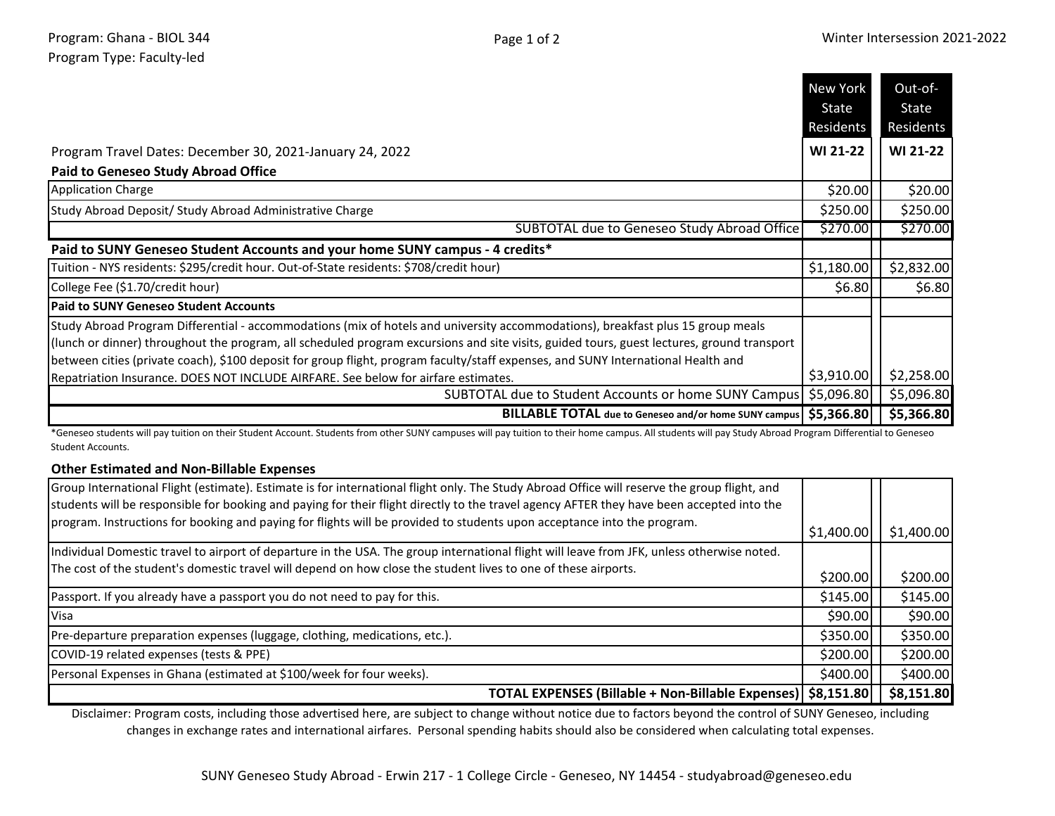|                                                                                                                                                                                                                                                                                                                                                                                                                    | New York<br>State<br>Residents | Out-of-<br>State<br>Residents |
|--------------------------------------------------------------------------------------------------------------------------------------------------------------------------------------------------------------------------------------------------------------------------------------------------------------------------------------------------------------------------------------------------------------------|--------------------------------|-------------------------------|
| Program Travel Dates: December 30, 2021-January 24, 2022                                                                                                                                                                                                                                                                                                                                                           | <b>WI 21-22</b>                | WI 21-22                      |
| <b>Paid to Geneseo Study Abroad Office</b>                                                                                                                                                                                                                                                                                                                                                                         |                                |                               |
| <b>Application Charge</b>                                                                                                                                                                                                                                                                                                                                                                                          | \$20.00                        | \$20.00                       |
| Study Abroad Deposit/ Study Abroad Administrative Charge                                                                                                                                                                                                                                                                                                                                                           | \$250.00                       | \$250.00                      |
| SUBTOTAL due to Geneseo Study Abroad Office                                                                                                                                                                                                                                                                                                                                                                        | \$270.00                       | \$270.00                      |
| Paid to SUNY Geneseo Student Accounts and your home SUNY campus - 4 credits*                                                                                                                                                                                                                                                                                                                                       |                                |                               |
| Tuition - NYS residents: \$295/credit hour. Out-of-State residents: \$708/credit hour)                                                                                                                                                                                                                                                                                                                             | \$1,180.00                     | \$2,832.00                    |
| College Fee (\$1.70/credit hour)                                                                                                                                                                                                                                                                                                                                                                                   | \$6.80                         | \$6.80                        |
| <b>Paid to SUNY Geneseo Student Accounts</b>                                                                                                                                                                                                                                                                                                                                                                       |                                |                               |
| Study Abroad Program Differential - accommodations (mix of hotels and university accommodations), breakfast plus 15 group meals<br>(lunch or dinner) throughout the program, all scheduled program excursions and site visits, guided tours, guest lectures, ground transport<br>between cities (private coach), \$100 deposit for group flight, program faculty/staff expenses, and SUNY International Health and |                                |                               |
| Repatriation Insurance. DOES NOT INCLUDE AIRFARE. See below for airfare estimates.                                                                                                                                                                                                                                                                                                                                 | \$3,910.00                     | \$2,258.00                    |
| SUBTOTAL due to Student Accounts or home SUNY Campus   \$5,096.80                                                                                                                                                                                                                                                                                                                                                  |                                | \$5,096.80                    |
| BILLABLE TOTAL due to Geneseo and/or home SUNY campus   \$5,366.80                                                                                                                                                                                                                                                                                                                                                 |                                | \$5,366.80                    |

\*Geneseo students will pay tuition on their Student Account. Students from other SUNY campuses will pay tuition to their home campus. All students will pay Study Abroad Program Differential to Geneseo Student Accounts.

## **Other Estimated and Non-Billable Expenses**

| Group International Flight (estimate). Estimate is for international flight only. The Study Abroad Office will reserve the group flight, and<br>students will be responsible for booking and paying for their flight directly to the travel agency AFTER they have been accepted into the |            |            |
|-------------------------------------------------------------------------------------------------------------------------------------------------------------------------------------------------------------------------------------------------------------------------------------------|------------|------------|
| program. Instructions for booking and paying for flights will be provided to students upon acceptance into the program.                                                                                                                                                                   | \$1,400.00 | \$1,400.00 |
| Individual Domestic travel to airport of departure in the USA. The group international flight will leave from JFK, unless otherwise noted.                                                                                                                                                |            |            |
| The cost of the student's domestic travel will depend on how close the student lives to one of these airports.                                                                                                                                                                            | \$200.00   | \$200.00   |
| Passport. If you already have a passport you do not need to pay for this.                                                                                                                                                                                                                 | \$145.00   | \$145.00   |
| Visa                                                                                                                                                                                                                                                                                      | \$90.00    | \$90.00    |
| Pre-departure preparation expenses (luggage, clothing, medications, etc.).                                                                                                                                                                                                                | \$350.00   | \$350.00   |
| COVID-19 related expenses (tests & PPE)                                                                                                                                                                                                                                                   | \$200.00   | \$200.00   |
| Personal Expenses in Ghana (estimated at \$100/week for four weeks).                                                                                                                                                                                                                      | \$400.00   | \$400.00   |
| TOTAL EXPENSES (Billable + Non-Billable Expenses)   \$8,151.80                                                                                                                                                                                                                            |            | \$8,151.80 |

Disclaimer: Program costs, including those advertised here, are subject to change without notice due to factors beyond the control of SUNY Geneseo, including changes in exchange rates and international airfares. Personal spending habits should also be considered when calculating total expenses.